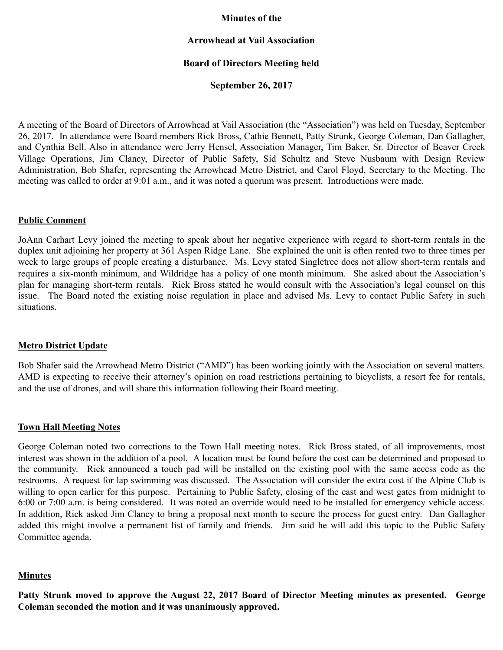### **Minutes of the**

### **Arrowhead at Vail Association**

## **Board of Directors Meeting held**

### **September 26, 2017**

A meeting of the Board of Directors of Arrowhead at Vail Association (the "Association") was held on Tuesday, September 26, 2017. In attendance were Board members Rick Bross, Cathie Bennett, Patty Strunk, George Coleman, Dan Gallagher, and Cynthia Bell. Also in attendance were Jerry Hensel, Association Manager, Tim Baker, Sr. Director of Beaver Creek Village Operations, Jim Clancy, Director of Public Safety, Sid Schultz and Steve Nusbaum with Design Review Administration, Bob Shafer, representing the Arrowhead Metro District, and Carol Floyd, Secretary to the Meeting. The meeting was called to order at 9:01 a.m., and it was noted a quorum was present. Introductions were made.

### **Public Comment**

JoAnn Carhart Levy joined the meeting to speak about her negative experience with regard to short-term rentals in the duplex unit adjoining her property at 361 Aspen Ridge Lane. She explained the unit is often rented two to three times per week to large groups of people creating a disturbance. Ms. Levy stated Singletree does not allow short-term rentals and requires a six-month minimum, and Wildridge has a policy of one month minimum. She asked about the Association's plan for managing short-term rentals. Rick Bross stated he would consult with the Association's legal counsel on this issue. The Board noted the existing noise regulation in place and advised Ms. Levy to contact Public Safety in such situations.

#### **Metro District Update**

Bob Shafer said the Arrowhead Metro District ("AMD") has been working jointly with the Association on several matters. AMD is expecting to receive their attorney's opinion on road restrictions pertaining to bicyclists, a resort fee for rentals, and the use of drones, and will share this information following their Board meeting.

#### **Town Hall Meeting Notes**

George Coleman noted two corrections to the Town Hall meeting notes. Rick Bross stated, of all improvements, most interest was shown in the addition of a pool. A location must be found before the cost can be determined and proposed to the community. Rick announced a touch pad will be installed on the existing pool with the same access code as the restrooms. A request for lap swimming was discussed. The Association will consider the extra cost if the Alpine Club is willing to open earlier for this purpose. Pertaining to Public Safety, closing of the east and west gates from midnight to 6:00 or 7:00 a.m. is being considered. It was noted an override would need to be installed for emergency vehicle access. In addition, Rick asked Jim Clancy to bring a proposal next month to secure the process for guest entry. Dan Gallagher added this might involve a permanent list of family and friends. Jim said he will add this topic to the Public Safety Committee agenda.

#### **Minutes**

**Patty Strunk moved to approve the August 22, 2017 Board of Director Meeting minutes as presented. George Coleman seconded the motion and it was unanimously approved.**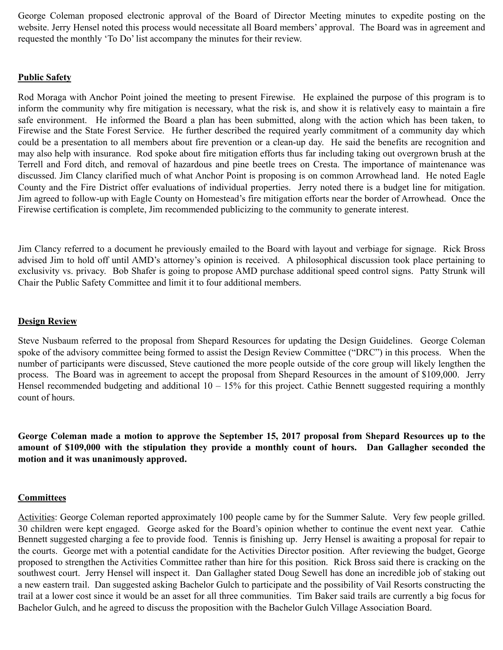George Coleman proposed electronic approval of the Board of Director Meeting minutes to expedite posting on the website. Jerry Hensel noted this process would necessitate all Board members' approval. The Board was in agreement and requested the monthly 'To Do' list accompany the minutes for their review.

# **Public Safety**

Rod Moraga with Anchor Point joined the meeting to present Firewise. He explained the purpose of this program is to inform the community why fire mitigation is necessary, what the risk is, and show it is relatively easy to maintain a fire safe environment. He informed the Board a plan has been submitted, along with the action which has been taken, to Firewise and the State Forest Service. He further described the required yearly commitment of a community day which could be a presentation to all members about fire prevention or a clean-up day. He said the benefits are recognition and may also help with insurance. Rod spoke about fire mitigation efforts thus far including taking out overgrown brush at the Terrell and Ford ditch, and removal of hazardous and pine beetle trees on Cresta. The importance of maintenance was discussed. Jim Clancy clarified much of what Anchor Point is proposing is on common Arrowhead land. He noted Eagle County and the Fire District offer evaluations of individual properties. Jerry noted there is a budget line for mitigation. Jim agreed to follow-up with Eagle County on Homestead's fire mitigation efforts near the border of Arrowhead. Once the Firewise certification is complete, Jim recommended publicizing to the community to generate interest.

Jim Clancy referred to a document he previously emailed to the Board with layout and verbiage for signage. Rick Bross advised Jim to hold off until AMD's attorney's opinion is received. A philosophical discussion took place pertaining to exclusivity vs. privacy. Bob Shafer is going to propose AMD purchase additional speed control signs. Patty Strunk will Chair the Public Safety Committee and limit it to four additional members.

## **Design Review**

Steve Nusbaum referred to the proposal from Shepard Resources for updating the Design Guidelines. George Coleman spoke of the advisory committee being formed to assist the Design Review Committee ("DRC") in this process. When the number of participants were discussed, Steve cautioned the more people outside of the core group will likely lengthen the process. The Board was in agreement to accept the proposal from Shepard Resources in the amount of \$109,000. Jerry Hensel recommended budgeting and additional  $10 - 15\%$  for this project. Cathie Bennett suggested requiring a monthly count of hours.

**George Coleman made a motion to approve the September 15, 2017 proposal from Shepard Resources up to the amount of \$109,000 with the stipulation they provide a monthly count of hours. Dan Gallagher seconded the motion and it was unanimously approved.** 

## **Committees**

Activities: George Coleman reported approximately 100 people came by for the Summer Salute. Very few people grilled. 30 children were kept engaged. George asked for the Board's opinion whether to continue the event next year. Cathie Bennett suggested charging a fee to provide food. Tennis is finishing up. Jerry Hensel is awaiting a proposal for repair to the courts. George met with a potential candidate for the Activities Director position. After reviewing the budget, George proposed to strengthen the Activities Committee rather than hire for this position. Rick Bross said there is cracking on the southwest court. Jerry Hensel will inspect it. Dan Gallagher stated Doug Sewell has done an incredible job of staking out a new eastern trail. Dan suggested asking Bachelor Gulch to participate and the possibility of Vail Resorts constructing the trail at a lower cost since it would be an asset for all three communities. Tim Baker said trails are currently a big focus for Bachelor Gulch, and he agreed to discuss the proposition with the Bachelor Gulch Village Association Board.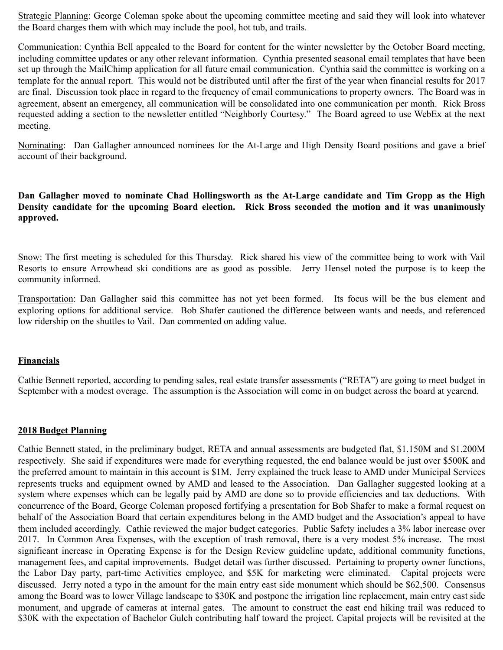Strategic Planning: George Coleman spoke about the upcoming committee meeting and said they will look into whatever the Board charges them with which may include the pool, hot tub, and trails.

Communication: Cynthia Bell appealed to the Board for content for the winter newsletter by the October Board meeting, including committee updates or any other relevant information. Cynthia presented seasonal email templates that have been set up through the MailChimp application for all future email communication. Cynthia said the committee is working on a template for the annual report. This would not be distributed until after the first of the year when financial results for 2017 are final. Discussion took place in regard to the frequency of email communications to property owners. The Board was in agreement, absent an emergency, all communication will be consolidated into one communication per month. Rick Bross requested adding a section to the newsletter entitled "Neighborly Courtesy." The Board agreed to use WebEx at the next meeting.

Nominating: Dan Gallagher announced nominees for the At-Large and High Density Board positions and gave a brief account of their background.

**Dan Gallagher moved to nominate Chad Hollingsworth as the At-Large candidate and Tim Gropp as the High Density candidate for the upcoming Board election. Rick Bross seconded the motion and it was unanimously approved.** 

Snow: The first meeting is scheduled for this Thursday. Rick shared his view of the committee being to work with Vail Resorts to ensure Arrowhead ski conditions are as good as possible. Jerry Hensel noted the purpose is to keep the community informed.

Transportation: Dan Gallagher said this committee has not yet been formed. Its focus will be the bus element and exploring options for additional service. Bob Shafer cautioned the difference between wants and needs, and referenced low ridership on the shuttles to Vail. Dan commented on adding value.

## **Financials**

Cathie Bennett reported, according to pending sales, real estate transfer assessments ("RETA") are going to meet budget in September with a modest overage. The assumption is the Association will come in on budget across the board at yearend.

## **2018 Budget Planning**

Cathie Bennett stated, in the preliminary budget, RETA and annual assessments are budgeted flat, \$1.150M and \$1.200M respectively. She said if expenditures were made for everything requested, the end balance would be just over \$500K and the preferred amount to maintain in this account is \$1M. Jerry explained the truck lease to AMD under Municipal Services represents trucks and equipment owned by AMD and leased to the Association. Dan Gallagher suggested looking at a system where expenses which can be legally paid by AMD are done so to provide efficiencies and tax deductions. With concurrence of the Board, George Coleman proposed fortifying a presentation for Bob Shafer to make a formal request on behalf of the Association Board that certain expenditures belong in the AMD budget and the Association's appeal to have them included accordingly. Cathie reviewed the major budget categories. Public Safety includes a 3% labor increase over 2017. In Common Area Expenses, with the exception of trash removal, there is a very modest 5% increase. The most significant increase in Operating Expense is for the Design Review guideline update, additional community functions, management fees, and capital improvements. Budget detail was further discussed. Pertaining to property owner functions, the Labor Day party, part-time Activities employee, and \$5K for marketing were eliminated. Capital projects were discussed. Jerry noted a typo in the amount for the main entry east side monument which should be \$62,500. Consensus among the Board was to lower Village landscape to \$30K and postpone the irrigation line replacement, main entry east side monument, and upgrade of cameras at internal gates. The amount to construct the east end hiking trail was reduced to \$30K with the expectation of Bachelor Gulch contributing half toward the project. Capital projects will be revisited at the